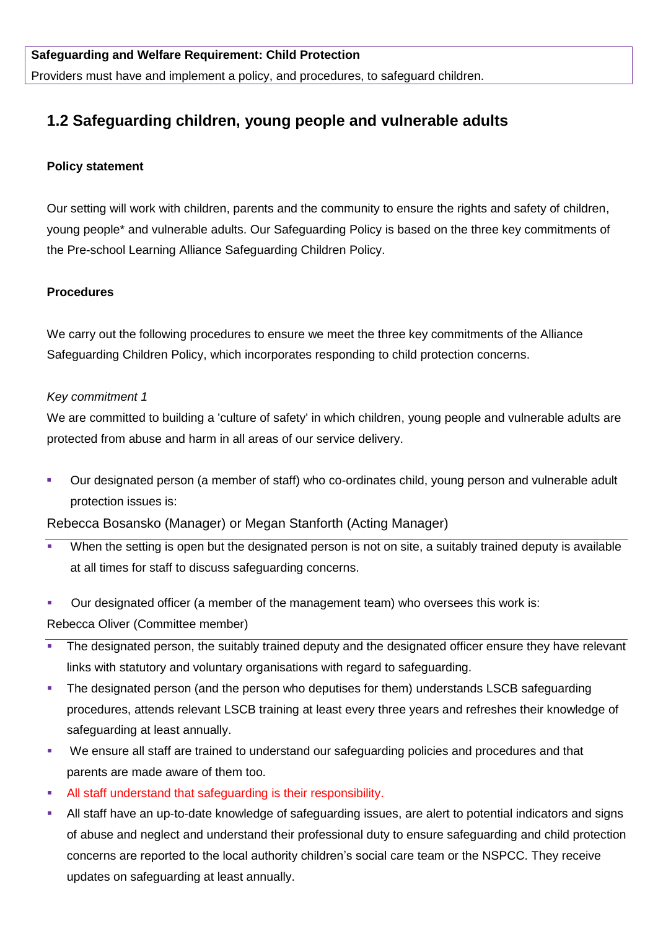# **1.2 Safeguarding children, young people and vulnerable adults**

# **Policy statement**

Our setting will work with children, parents and the community to ensure the rights and safety of children, young people\* and vulnerable adults. Our Safeguarding Policy is based on the three key commitments of the Pre-school Learning Alliance Safeguarding Children Policy.

# **Procedures**

We carry out the following procedures to ensure we meet the three key commitments of the Alliance Safeguarding Children Policy, which incorporates responding to child protection concerns.

# *Key commitment 1*

We are committed to building a 'culture of safety' in which children, young people and vulnerable adults are protected from abuse and harm in all areas of our service delivery.

 Our designated person (a member of staff) who co-ordinates child, young person and vulnerable adult protection issues is:

Rebecca Bosansko (Manager) or Megan Stanforth (Acting Manager)

- When the setting is open but the designated person is not on site, a suitably trained deputy is available at all times for staff to discuss safeguarding concerns.
- Our designated officer (a member of the management team) who oversees this work is:

Rebecca Oliver (Committee member)

- **The designated person, the suitably trained deputy and the designated officer ensure they have relevant** links with statutory and voluntary organisations with regard to safeguarding.
- The designated person (and the person who deputises for them) understands LSCB safeguarding procedures, attends relevant LSCB training at least every three years and refreshes their knowledge of safeguarding at least annually.
- We ensure all staff are trained to understand our safeguarding policies and procedures and that parents are made aware of them too.
- All staff understand that safeguarding is their responsibility.
- All staff have an up-to-date knowledge of safeguarding issues, are alert to potential indicators and signs of abuse and neglect and understand their professional duty to ensure safeguarding and child protection concerns are reported to the local authority children's social care team or the NSPCC. They receive updates on safeguarding at least annually.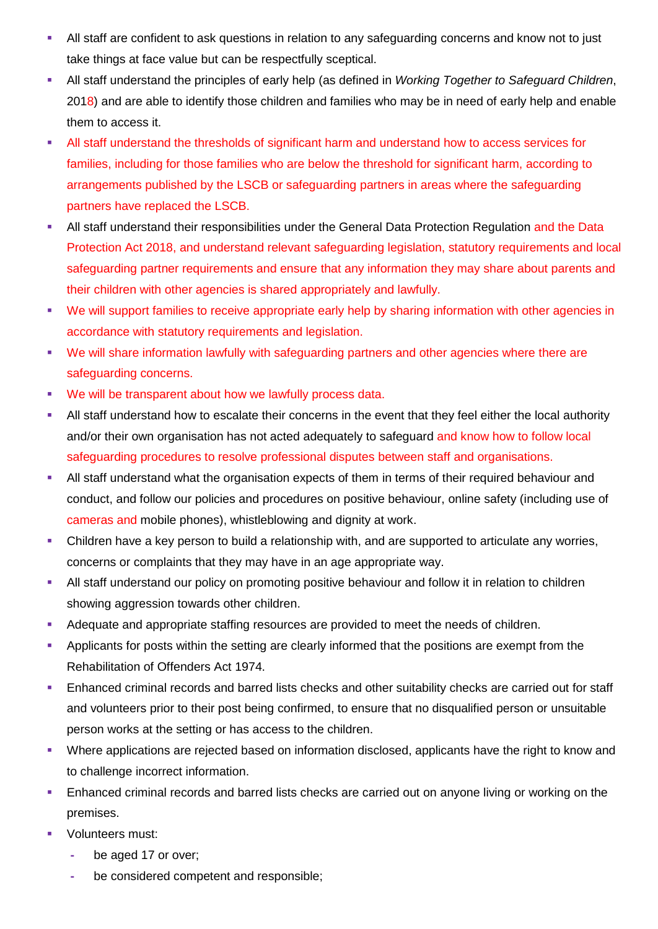- All staff are confident to ask questions in relation to any safeguarding concerns and know not to just take things at face value but can be respectfully sceptical.
- All staff understand the principles of early help (as defined in *Working Together to Safeguard Children*, 2018) and are able to identify those children and families who may be in need of early help and enable them to access it.
- All staff understand the thresholds of significant harm and understand how to access services for families, including for those families who are below the threshold for significant harm, according to arrangements published by the LSCB or safeguarding partners in areas where the safeguarding partners have replaced the LSCB.
- All staff understand their responsibilities under the General Data Protection Regulation and the Data Protection Act 2018, and understand relevant safeguarding legislation, statutory requirements and local safeguarding partner requirements and ensure that any information they may share about parents and their children with other agencies is shared appropriately and lawfully.
- We will support families to receive appropriate early help by sharing information with other agencies in accordance with statutory requirements and legislation.
- We will share information lawfully with safeguarding partners and other agencies where there are safeguarding concerns.
- We will be transparent about how we lawfully process data.
- All staff understand how to escalate their concerns in the event that they feel either the local authority and/or their own organisation has not acted adequately to safeguard and know how to follow local safeguarding procedures to resolve professional disputes between staff and organisations.
- All staff understand what the organisation expects of them in terms of their required behaviour and conduct, and follow our policies and procedures on positive behaviour, online safety (including use of cameras and mobile phones), whistleblowing and dignity at work.
- Children have a key person to build a relationship with, and are supported to articulate any worries, concerns or complaints that they may have in an age appropriate way.
- **All staff understand our policy on promoting positive behaviour and follow it in relation to children** showing aggression towards other children.
- Adequate and appropriate staffing resources are provided to meet the needs of children.
- **Applicants for posts within the setting are clearly informed that the positions are exempt from the** Rehabilitation of Offenders Act 1974.
- **Enhanced criminal records and barred lists checks and other suitability checks are carried out for staff** and volunteers prior to their post being confirmed, to ensure that no disqualified person or unsuitable person works at the setting or has access to the children.
- Where applications are rejected based on information disclosed, applicants have the right to know and to challenge incorrect information.
- Enhanced criminal records and barred lists checks are carried out on anyone living or working on the premises.
- Volunteers must:
	- **-** be aged 17 or over;
	- **-** be considered competent and responsible;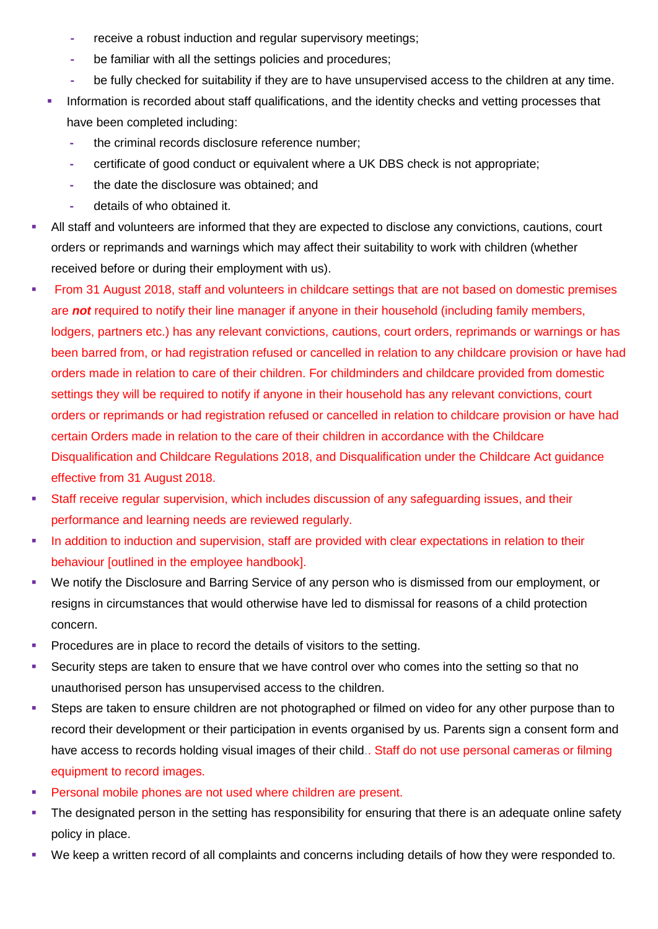- **-** receive a robust induction and regular supervisory meetings;
- **-** be familiar with all the settings policies and procedures;
- **-** be fully checked for suitability if they are to have unsupervised access to the children at any time.
- **Information is recorded about staff qualifications, and the identity checks and vetting processes that** have been completed including:
	- **-** the criminal records disclosure reference number;
	- **-** certificate of good conduct or equivalent where a UK DBS check is not appropriate;
	- **-** the date the disclosure was obtained; and
	- **-** details of who obtained it.
- All staff and volunteers are informed that they are expected to disclose any convictions, cautions, court orders or reprimands and warnings which may affect their suitability to work with children (whether received before or during their employment with us).
- From 31 August 2018, staff and volunteers in childcare settings that are not based on domestic premises are *not* required to notify their line manager if anyone in their household (including family members, lodgers, partners etc.) has any relevant convictions, cautions, court orders, reprimands or warnings or has been barred from, or had registration refused or cancelled in relation to any childcare provision or have had orders made in relation to care of their children. For childminders and childcare provided from domestic settings they will be required to notify if anyone in their household has any relevant convictions, court orders or reprimands or had registration refused or cancelled in relation to childcare provision or have had certain Orders made in relation to the care of their children in accordance with the Childcare Disqualification and Childcare Regulations 2018, and Disqualification under the Childcare Act guidance effective from 31 August 2018.
- Staff receive regular supervision, which includes discussion of any safeguarding issues, and their performance and learning needs are reviewed regularly.
- In addition to induction and supervision, staff are provided with clear expectations in relation to their behaviour [outlined in the employee handbook].
- We notify the Disclosure and Barring Service of any person who is dismissed from our employment, or resigns in circumstances that would otherwise have led to dismissal for reasons of a child protection concern.
- Procedures are in place to record the details of visitors to the setting.
- **Security steps are taken to ensure that we have control over who comes into the setting so that no** unauthorised person has unsupervised access to the children.
- Steps are taken to ensure children are not photographed or filmed on video for any other purpose than to record their development or their participation in events organised by us. Parents sign a consent form and have access to records holding visual images of their child.. Staff do not use personal cameras or filming equipment to record images.
- Personal mobile phones are not used where children are present.
- The designated person in the setting has responsibility for ensuring that there is an adequate online safety policy in place.
- We keep a written record of all complaints and concerns including details of how they were responded to.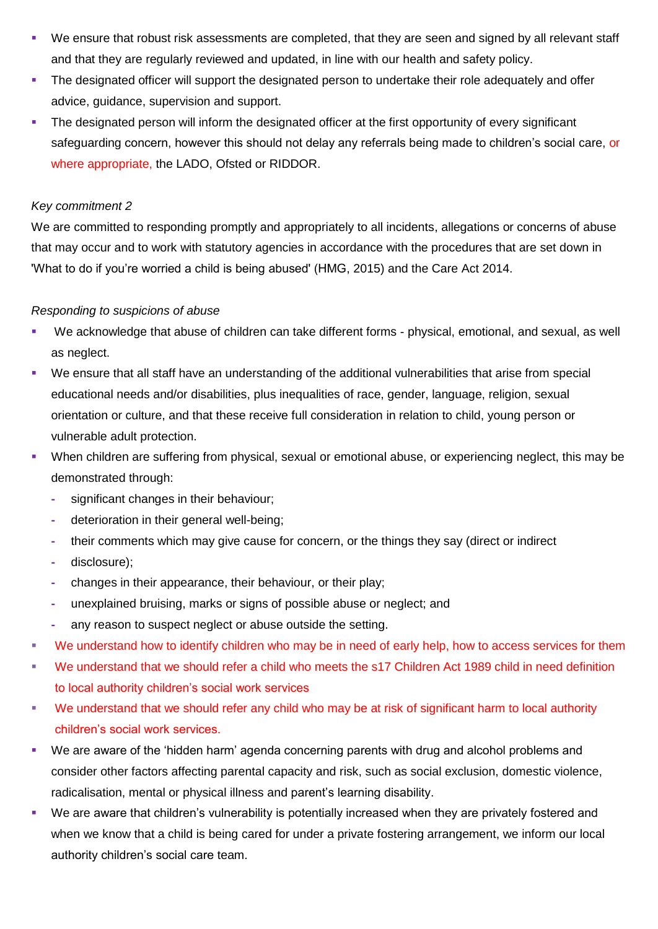- We ensure that robust risk assessments are completed, that they are seen and signed by all relevant staff and that they are regularly reviewed and updated, in line with our health and safety policy.
- **The designated officer will support the designated person to undertake their role adequately and offer** advice, guidance, supervision and support.
- The designated person will inform the designated officer at the first opportunity of every significant safeguarding concern, however this should not delay any referrals being made to children's social care, or where appropriate, the LADO, Ofsted or RIDDOR.

# *Key commitment 2*

We are committed to responding promptly and appropriately to all incidents, allegations or concerns of abuse that may occur and to work with statutory agencies in accordance with the procedures that are set down in 'What to do if you're worried a child is being abused' (HMG, 2015) and the Care Act 2014.

# *Responding to suspicions of abuse*

- We acknowledge that abuse of children can take different forms physical, emotional, and sexual, as well as neglect.
- We ensure that all staff have an understanding of the additional vulnerabilities that arise from special educational needs and/or disabilities, plus inequalities of race, gender, language, religion, sexual orientation or culture, and that these receive full consideration in relation to child, young person or vulnerable adult protection.
- When children are suffering from physical, sexual or emotional abuse, or experiencing neglect, this may be demonstrated through:
	- **-** significant changes in their behaviour;
	- **-** deterioration in their general well-being;
	- **-** their comments which may give cause for concern, or the things they say (direct or indirect
	- **-** disclosure);
	- **-** changes in their appearance, their behaviour, or their play;
	- **-** unexplained bruising, marks or signs of possible abuse or neglect; and
	- **-** any reason to suspect neglect or abuse outside the setting.
- We understand how to identify children who may be in need of early help, how to access services for them
- We understand that we should refer a child who meets the s17 Children Act 1989 child in need definition to local authority children's social work services
- We understand that we should refer any child who may be at risk of significant harm to local authority children's social work services.
- We are aware of the 'hidden harm' agenda concerning parents with drug and alcohol problems and consider other factors affecting parental capacity and risk, such as social exclusion, domestic violence, radicalisation, mental or physical illness and parent's learning disability.
- We are aware that children's vulnerability is potentially increased when they are privately fostered and when we know that a child is being cared for under a private fostering arrangement, we inform our local authority children's social care team.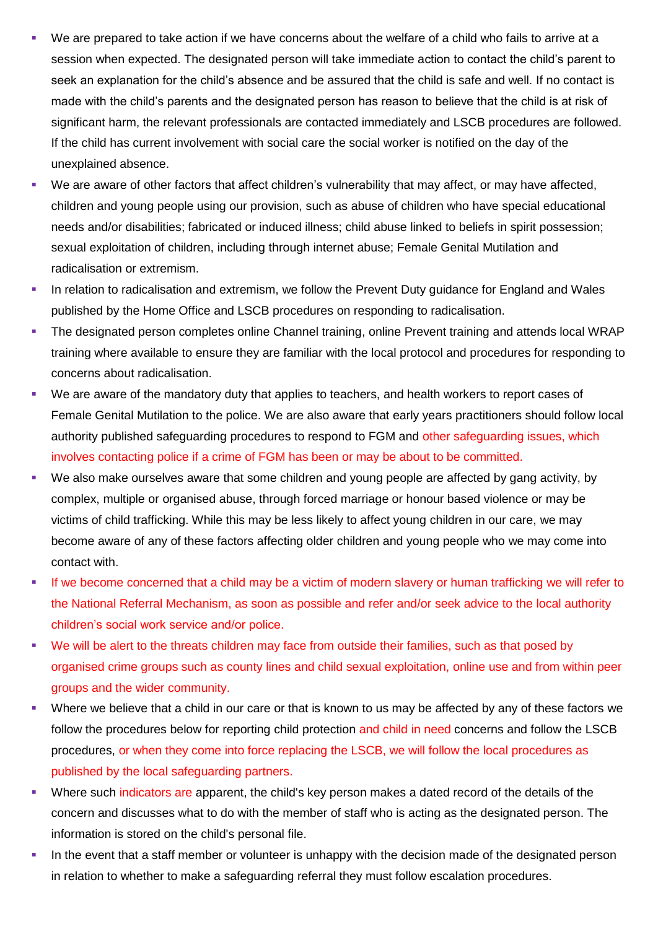- We are prepared to take action if we have concerns about the welfare of a child who fails to arrive at a session when expected. The designated person will take immediate action to contact the child's parent to seek an explanation for the child's absence and be assured that the child is safe and well. If no contact is made with the child's parents and the designated person has reason to believe that the child is at risk of significant harm, the relevant professionals are contacted immediately and LSCB procedures are followed. If the child has current involvement with social care the social worker is notified on the day of the unexplained absence.
- We are aware of other factors that affect children's vulnerability that may affect, or may have affected, children and young people using our provision, such as abuse of children who have special educational needs and/or disabilities; fabricated or induced illness; child abuse linked to beliefs in spirit possession; sexual exploitation of children, including through internet abuse; Female Genital Mutilation and radicalisation or extremism.
- In relation to radicalisation and extremism, we follow the Prevent Duty guidance for England and Wales published by the Home Office and LSCB procedures on responding to radicalisation.
- The designated person completes online Channel training, online Prevent training and attends local WRAP training where available to ensure they are familiar with the local protocol and procedures for responding to concerns about radicalisation.
- We are aware of the mandatory duty that applies to teachers, and health workers to report cases of Female Genital Mutilation to the police. We are also aware that early years practitioners should follow local authority published safeguarding procedures to respond to FGM and other safeguarding issues, which involves contacting police if a crime of FGM has been or may be about to be committed.
- We also make ourselves aware that some children and young people are affected by gang activity, by complex, multiple or organised abuse, through forced marriage or honour based violence or may be victims of child trafficking. While this may be less likely to affect young children in our care, we may become aware of any of these factors affecting older children and young people who we may come into contact with.
- If we become concerned that a child may be a victim of modern slavery or human trafficking we will refer to the National Referral Mechanism, as soon as possible and refer and/or seek advice to the local authority children's social work service and/or police.
- We will be alert to the threats children may face from outside their families, such as that posed by organised crime groups such as county lines and child sexual exploitation, online use and from within peer groups and the wider community.
- Where we believe that a child in our care or that is known to us may be affected by any of these factors we follow the procedures below for reporting child protection and child in need concerns and follow the LSCB procedures, or when they come into force replacing the LSCB, we will follow the local procedures as published by the local safeguarding partners.
- Where such indicators are apparent, the child's key person makes a dated record of the details of the concern and discusses what to do with the member of staff who is acting as the designated person. The information is stored on the child's personal file.
- In the event that a staff member or volunteer is unhappy with the decision made of the designated person in relation to whether to make a safeguarding referral they must follow escalation procedures.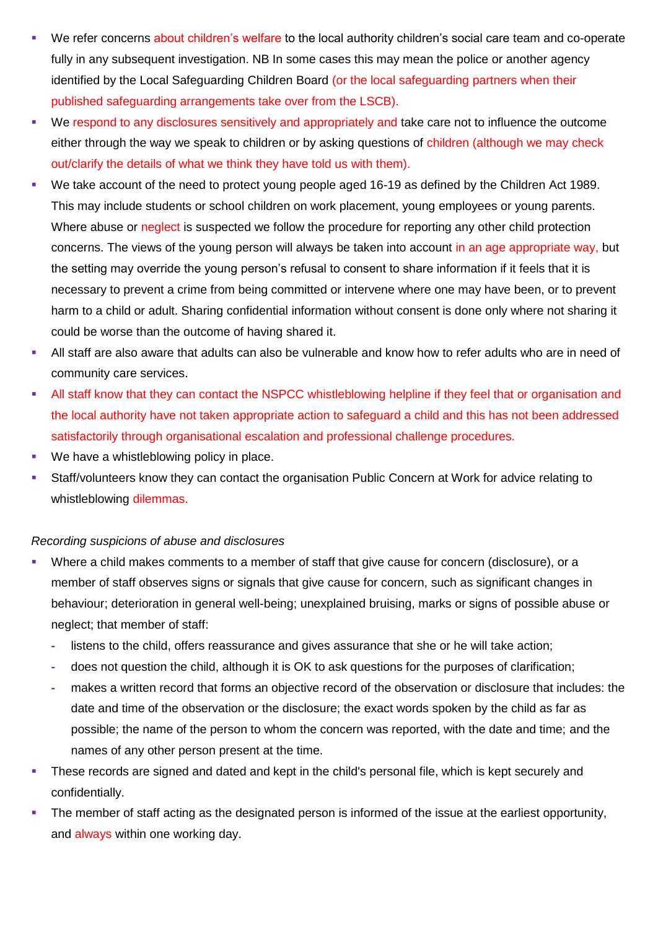- We refer concerns about children's welfare to the local authority children's social care team and co-operate fully in any subsequent investigation. NB In some cases this may mean the police or another agency identified by the Local Safeguarding Children Board (or the local safeguarding partners when their published safeguarding arrangements take over from the LSCB).
- We respond to any disclosures sensitively and appropriately and take care not to influence the outcome either through the way we speak to children or by asking questions of children (although we may check out/clarify the details of what we think they have told us with them).
- We take account of the need to protect young people aged 16-19 as defined by the Children Act 1989. This may include students or school children on work placement, young employees or young parents. Where abuse or neglect is suspected we follow the procedure for reporting any other child protection concerns. The views of the young person will always be taken into account in an age appropriate way, but the setting may override the young person's refusal to consent to share information if it feels that it is necessary to prevent a crime from being committed or intervene where one may have been, or to prevent harm to a child or adult. Sharing confidential information without consent is done only where not sharing it could be worse than the outcome of having shared it.
- All staff are also aware that adults can also be vulnerable and know how to refer adults who are in need of community care services.
- All staff know that they can contact the NSPCC whistleblowing helpline if they feel that or organisation and the local authority have not taken appropriate action to safeguard a child and this has not been addressed satisfactorily through organisational escalation and professional challenge procedures.
- **We have a whistleblowing policy in place.**
- Staff/volunteers know they can contact the organisation Public Concern at Work for advice relating to whistleblowing dilemmas.

# *Recording suspicions of abuse and disclosures*

- Where a child makes comments to a member of staff that give cause for concern (disclosure), or a member of staff observes signs or signals that give cause for concern, such as significant changes in behaviour; deterioration in general well-being; unexplained bruising, marks or signs of possible abuse or neglect; that member of staff:
	- **-** listens to the child, offers reassurance and gives assurance that she or he will take action;
	- **-** does not question the child, although it is OK to ask questions for the purposes of clarification;
	- **-** makes a written record that forms an objective record of the observation or disclosure that includes: the date and time of the observation or the disclosure; the exact words spoken by the child as far as possible; the name of the person to whom the concern was reported, with the date and time; and the names of any other person present at the time.
- These records are signed and dated and kept in the child's personal file, which is kept securely and confidentially.
- The member of staff acting as the designated person is informed of the issue at the earliest opportunity, and always within one working day.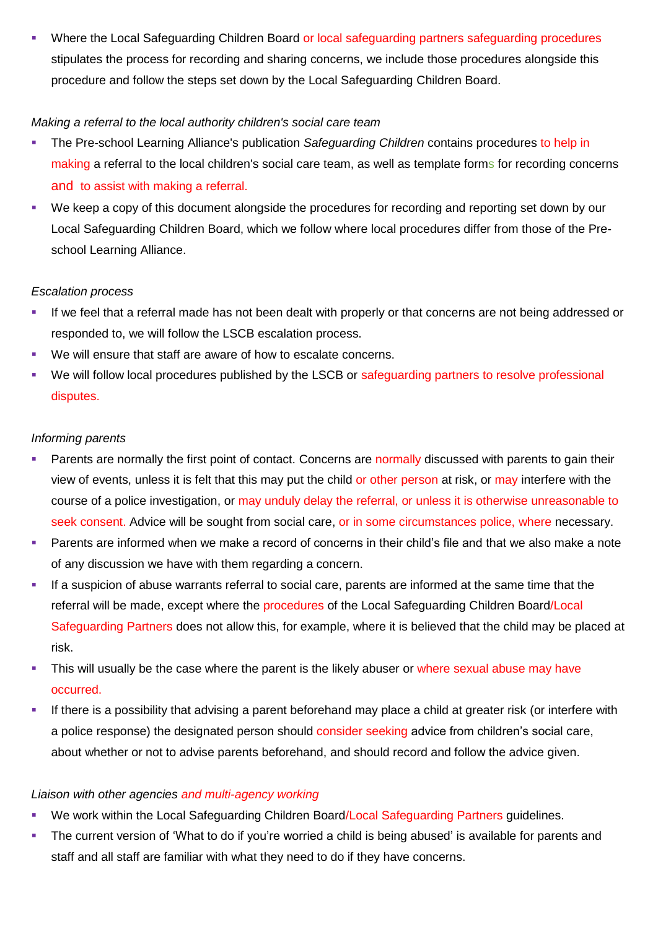Where the Local Safeguarding Children Board or local safeguarding partners safeguarding procedures stipulates the process for recording and sharing concerns, we include those procedures alongside this procedure and follow the steps set down by the Local Safeguarding Children Board.

# *Making a referral to the local authority children's social care team*

- The Pre-school Learning Alliance's publication *Safeguarding Children* contains procedures to help in making a referral to the local children's social care team, as well as template forms for recording concerns and to assist with making a referral.
- We keep a copy of this document alongside the procedures for recording and reporting set down by our Local Safeguarding Children Board, which we follow where local procedures differ from those of the Preschool Learning Alliance.

# *Escalation process*

- If we feel that a referral made has not been dealt with properly or that concerns are not being addressed or responded to, we will follow the LSCB escalation process.
- We will ensure that staff are aware of how to escalate concerns.
- We will follow local procedures published by the LSCB or safeguarding partners to resolve professional disputes.

# *Informing parents*

- Parents are normally the first point of contact. Concerns are normally discussed with parents to gain their view of events, unless it is felt that this may put the child or other person at risk, or may interfere with the course of a police investigation, or may unduly delay the referral, or unless it is otherwise unreasonable to seek consent. Advice will be sought from social care, or in some circumstances police, where necessary.
- Parents are informed when we make a record of concerns in their child's file and that we also make a note of any discussion we have with them regarding a concern.
- If a suspicion of abuse warrants referral to social care, parents are informed at the same time that the referral will be made, except where the procedures of the Local Safeguarding Children Board/Local Safeguarding Partners does not allow this, for example, where it is believed that the child may be placed at risk.
- This will usually be the case where the parent is the likely abuser or where sexual abuse may have occurred.
- If there is a possibility that advising a parent beforehand may place a child at greater risk (or interfere with a police response) the designated person should consider seeking advice from children's social care, about whether or not to advise parents beforehand, and should record and follow the advice given.

# *Liaison with other agencies and multi-agency working*

- We work within the Local Safeguarding Children Board/Local Safeguarding Partners guidelines.
- The current version of 'What to do if you're worried a child is being abused' is available for parents and staff and all staff are familiar with what they need to do if they have concerns.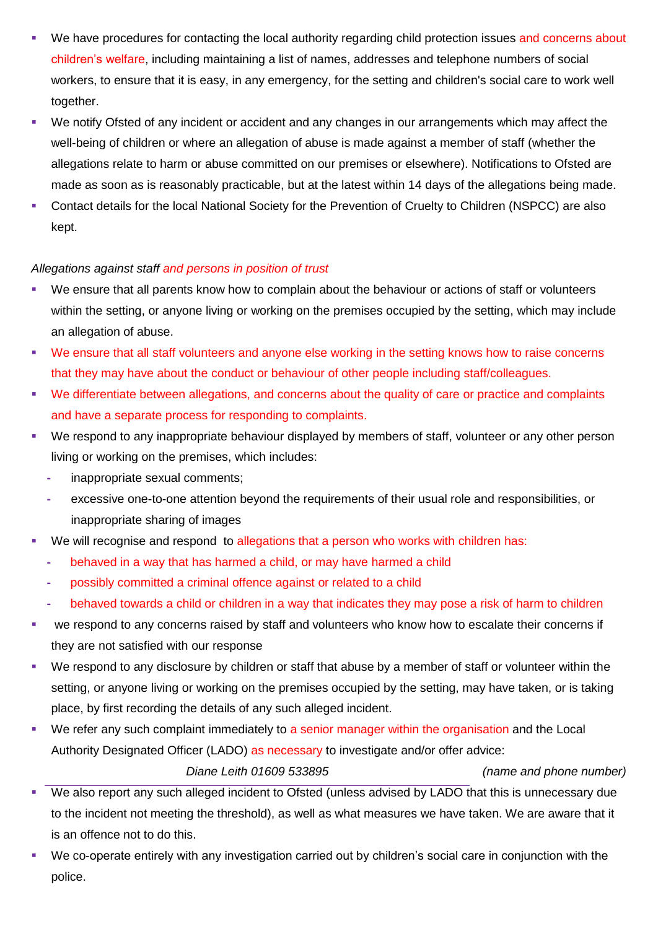- We have procedures for contacting the local authority regarding child protection issues and concerns about children's welfare, including maintaining a list of names, addresses and telephone numbers of social workers, to ensure that it is easy, in any emergency, for the setting and children's social care to work well together.
- We notify Ofsted of any incident or accident and any changes in our arrangements which may affect the well-being of children or where an allegation of abuse is made against a member of staff (whether the allegations relate to harm or abuse committed on our premises or elsewhere). Notifications to Ofsted are made as soon as is reasonably practicable, but at the latest within 14 days of the allegations being made.
- Contact details for the local National Society for the Prevention of Cruelty to Children (NSPCC) are also kept.

# *Allegations against staff and persons in position of trust*

- We ensure that all parents know how to complain about the behaviour or actions of staff or volunteers within the setting, or anyone living or working on the premises occupied by the setting, which may include an allegation of abuse.
- We ensure that all staff volunteers and anyone else working in the setting knows how to raise concerns that they may have about the conduct or behaviour of other people including staff/colleagues.
- We differentiate between allegations, and concerns about the quality of care or practice and complaints and have a separate process for responding to complaints.
- We respond to any inappropriate behaviour displayed by members of staff, volunteer or any other person living or working on the premises, which includes:
	- **-** inappropriate sexual comments;
	- **-** excessive one-to-one attention beyond the requirements of their usual role and responsibilities, or inappropriate sharing of images
- We will recognise and respond to allegations that a person who works with children has:
	- **-** behaved in a way that has harmed a child, or may have harmed a child
	- **-** possibly committed a criminal offence against or related to a child
	- **-** behaved towards a child or children in a way that indicates they may pose a risk of harm to children
- we respond to any concerns raised by staff and volunteers who know how to escalate their concerns if they are not satisfied with our response
- We respond to any disclosure by children or staff that abuse by a member of staff or volunteer within the setting, or anyone living or working on the premises occupied by the setting, may have taken, or is taking place, by first recording the details of any such alleged incident.
- We refer any such complaint immediately to a senior manager within the organisation and the Local Authority Designated Officer (LADO) as necessary to investigate and/or offer advice:

*Diane Leith 01609 533895 (name and phone number)*

- We also report any such alleged incident to Ofsted (unless advised by LADO that this is unnecessary due to the incident not meeting the threshold), as well as what measures we have taken. We are aware that it is an offence not to do this.
- We co-operate entirely with any investigation carried out by children's social care in conjunction with the police.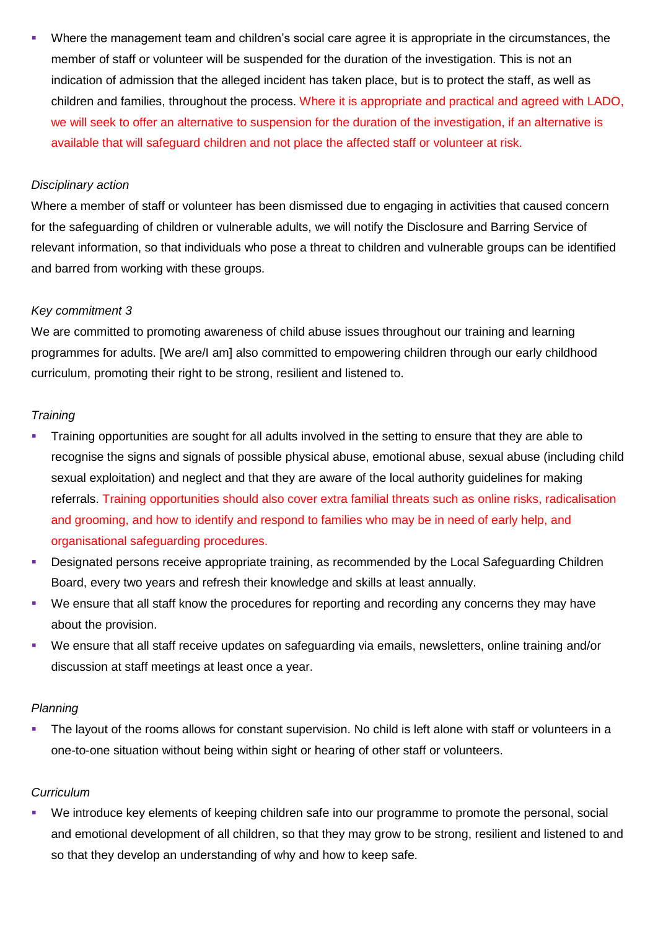Where the management team and children's social care agree it is appropriate in the circumstances, the member of staff or volunteer will be suspended for the duration of the investigation. This is not an indication of admission that the alleged incident has taken place, but is to protect the staff, as well as children and families, throughout the process. Where it is appropriate and practical and agreed with LADO, we will seek to offer an alternative to suspension for the duration of the investigation, if an alternative is available that will safeguard children and not place the affected staff or volunteer at risk.

#### *Disciplinary action*

Where a member of staff or volunteer has been dismissed due to engaging in activities that caused concern for the safeguarding of children or vulnerable adults, we will notify the Disclosure and Barring Service of relevant information, so that individuals who pose a threat to children and vulnerable groups can be identified and barred from working with these groups.

#### *Key commitment 3*

We are committed to promoting awareness of child abuse issues throughout our training and learning programmes for adults. [We are/I am] also committed to empowering children through our early childhood curriculum, promoting their right to be strong, resilient and listened to.

# *Training*

- **Training opportunities are sought for all adults involved in the setting to ensure that they are able to** recognise the signs and signals of possible physical abuse, emotional abuse, sexual abuse (including child sexual exploitation) and neglect and that they are aware of the local authority guidelines for making referrals. Training opportunities should also cover extra familial threats such as online risks, radicalisation and grooming, and how to identify and respond to families who may be in need of early help, and organisational safeguarding procedures.
- Designated persons receive appropriate training, as recommended by the Local Safeguarding Children Board, every two years and refresh their knowledge and skills at least annually.
- We ensure that all staff know the procedures for reporting and recording any concerns they may have about the provision.
- We ensure that all staff receive updates on safeguarding via emails, newsletters, online training and/or discussion at staff meetings at least once a year.

# *Planning*

 The layout of the rooms allows for constant supervision. No child is left alone with staff or volunteers in a one-to-one situation without being within sight or hearing of other staff or volunteers.

# *Curriculum*

 We introduce key elements of keeping children safe into our programme to promote the personal, social and emotional development of all children, so that they may grow to be strong, resilient and listened to and so that they develop an understanding of why and how to keep safe.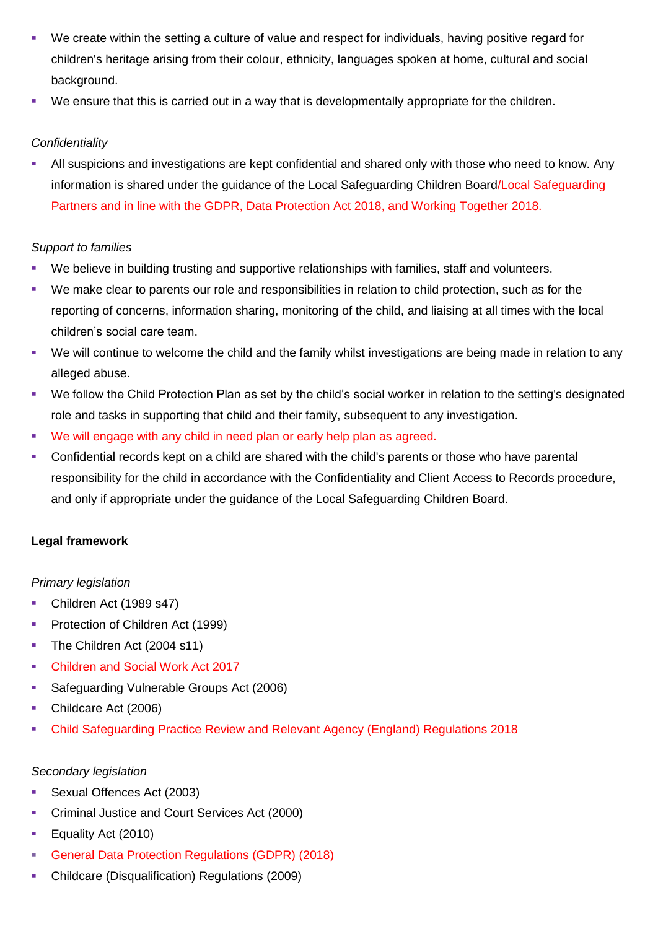- We create within the setting a culture of value and respect for individuals, having positive regard for children's heritage arising from their colour, ethnicity, languages spoken at home, cultural and social background.
- We ensure that this is carried out in a way that is developmentally appropriate for the children.

# *Confidentiality*

 All suspicions and investigations are kept confidential and shared only with those who need to know. Any information is shared under the guidance of the Local Safeguarding Children Board/Local Safeguarding Partners and in line with the GDPR, Data Protection Act 2018, and Working Together 2018.

# *Support to families*

- We believe in building trusting and supportive relationships with families, staff and volunteers.
- We make clear to parents our role and responsibilities in relation to child protection, such as for the reporting of concerns, information sharing, monitoring of the child, and liaising at all times with the local children's social care team.
- We will continue to welcome the child and the family whilst investigations are being made in relation to any alleged abuse.
- We follow the Child Protection Plan as set by the child's social worker in relation to the setting's designated role and tasks in supporting that child and their family, subsequent to any investigation.
- We will engage with any child in need plan or early help plan as agreed.
- Confidential records kept on a child are shared with the child's parents or those who have parental responsibility for the child in accordance with the Confidentiality and Client Access to Records procedure, and only if appropriate under the guidance of the Local Safeguarding Children Board.

# **Legal framework**

# *Primary legislation*

- Children Act (1989 s47)
- **Protection of Children Act (1999)**
- The Children Act (2004 s11)
- Children and Social Work Act 2017
- **Safeguarding Vulnerable Groups Act (2006)**
- Childcare Act (2006)
- Child Safeguarding Practice Review and Relevant Agency (England) Regulations 2018

# *Secondary legislation*

- Sexual Offences Act (2003)
- **Criminal Justice and Court Services Act (2000)**
- **Equality Act (2010)**
- General Data Protection Regulations (GDPR) (2018)
- Childcare (Disqualification) Regulations (2009)